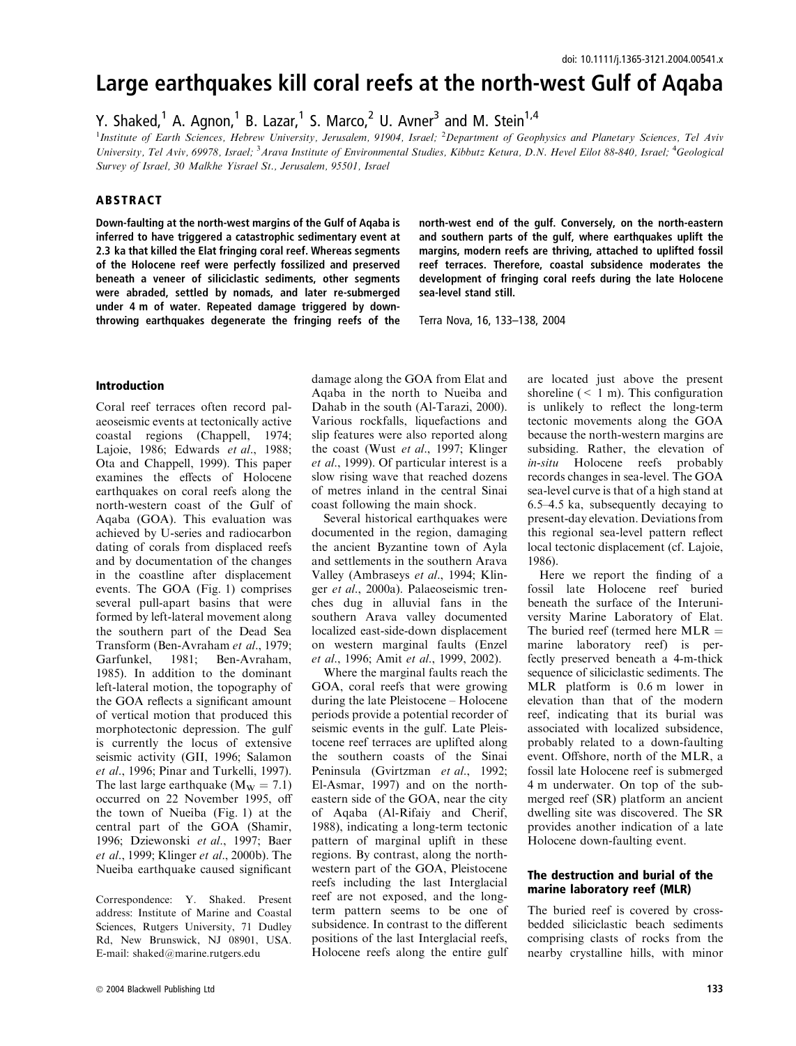# Large earthquakes kill coral reefs at the north-west Gulf of Aqaba

Y. Shaked,<sup>1</sup> A. Agnon,<sup>1</sup> B. Lazar,<sup>1</sup> S. Marco,<sup>2</sup> U. Avner<sup>3</sup> and M. Stein<sup>1,4</sup>

<sup>1</sup>Institute of Earth Sciences, Hebrew University, Jerusalem, 91904, Israel; <sup>2</sup>Department of Geophysics and Planetary Sciences, Tel Aviv University, Tel Aviv, 69978, Israel; <sup>3</sup> Arava Institute of Environmental Studies, Kibbutz Ketura, D.N. Hevel Eilot 88-840, Israel; <sup>4</sup>Geological Survey of Israel, 30 Malkhe Yisrael St., Jerusalem, 95501, Israel

## ABSTRACT

Down-faulting at the north-west margins of the Gulf of Aqaba is inferred to have triggered a catastrophic sedimentary event at 2.3 ka that killed the Elat fringing coral reef. Whereas segments of the Holocene reef were perfectly fossilized and preserved beneath a veneer of siliciclastic sediments, other segments were abraded, settled by nomads, and later re-submerged under 4 m of water. Repeated damage triggered by downthrowing earthquakes degenerate the fringing reefs of the

north-west end of the gulf. Conversely, on the north-eastern and southern parts of the gulf, where earthquakes uplift the margins, modern reefs are thriving, attached to uplifted fossil reef terraces. Therefore, coastal subsidence moderates the development of fringing coral reefs during the late Holocene sea-level stand still.

Terra Nova, 16, 133–138, 2004

## Introduction

Coral reef terraces often record palaeoseismic events at tectonically active coastal regions (Chappell, 1974; Lajoie, 1986; Edwards et al., 1988; Ota and Chappell, 1999). This paper examines the effects of Holocene earthquakes on coral reefs along the north-western coast of the Gulf of Aqaba (GOA). This evaluation was achieved by U-series and radiocarbon dating of corals from displaced reefs and by documentation of the changes in the coastline after displacement events. The GOA (Fig. 1) comprises several pull-apart basins that were formed by left-lateral movement along the southern part of the Dead Sea Transform (Ben-Avraham et al., 1979;<br>Garfunkel, 1981; Ben-Avraham, Ben-Avraham, 1985). In addition to the dominant left-lateral motion, the topography of the GOA reflects a significant amount of vertical motion that produced this morphotectonic depression. The gulf is currently the locus of extensive seismic activity (GII, 1996; Salamon et al., 1996; Pinar and Turkelli, 1997). The last large earthquake ( $M_W = 7.1$ ) occurred on 22 November 1995, off the town of Nueiba (Fig. 1) at the central part of the GOA (Shamir, 1996; Dziewonski et al., 1997; Baer et al., 1999; Klinger et al., 2000b). The Nueiba earthquake caused significant

Correspondence: Y. Shaked. Present address: Institute of Marine and Coastal Sciences, Rutgers University, 71 Dudley Rd, New Brunswick, NJ 08901, USA. E-mail: shaked@marine.rutgers.edu

damage along the GOA from Elat and Aqaba in the north to Nueiba and Dahab in the south (Al-Tarazi, 2000). Various rockfalls, liquefactions and slip features were also reported along the coast (Wust et al., 1997; Klinger et al., 1999). Of particular interest is a slow rising wave that reached dozens of metres inland in the central Sinai coast following the main shock.

Several historical earthquakes were documented in the region, damaging the ancient Byzantine town of Ayla and settlements in the southern Arava Valley (Ambraseys et al., 1994; Klinger et al., 2000a). Palaeoseismic trenches dug in alluvial fans in the southern Arava valley documented localized east-side-down displacement on western marginal faults (Enzel et al., 1996; Amit et al., 1999, 2002).

Where the marginal faults reach the GOA, coral reefs that were growing during the late Pleistocene – Holocene periods provide a potential recorder of seismic events in the gulf. Late Pleistocene reef terraces are uplifted along the southern coasts of the Sinai Peninsula (Gvirtzman et al., 1992; El-Asmar, 1997) and on the northeastern side of the GOA, near the city of Aqaba (Al-Rifaiy and Cherif, 1988), indicating a long-term tectonic pattern of marginal uplift in these regions. By contrast, along the northwestern part of the GOA, Pleistocene reefs including the last Interglacial reef are not exposed, and the longterm pattern seems to be one of subsidence. In contrast to the different positions of the last Interglacial reefs, Holocene reefs along the entire gulf are located just above the present shoreline  $(< 1 \text{ m})$ . This configuration is unlikely to reflect the long-term tectonic movements along the GOA because the north-western margins are subsiding. Rather, the elevation of in-situ Holocene reefs probably records changes in sea-level. The GOA sea-level curve is that of a high stand at 6.5–4.5 ka, subsequently decaying to present-day elevation. Deviations from this regional sea-level pattern reflect local tectonic displacement (cf. Lajoie, 1986).

Here we report the finding of a fossil late Holocene reef buried beneath the surface of the Interuniversity Marine Laboratory of Elat. The buried reef (termed here  $MLR =$ marine laboratory reef) is perfectly preserved beneath a 4-m-thick sequence of siliciclastic sediments. The MLR platform is 0.6 m lower in elevation than that of the modern reef, indicating that its burial was associated with localized subsidence, probably related to a down-faulting event. Offshore, north of the MLR, a fossil late Holocene reef is submerged 4 m underwater. On top of the submerged reef (SR) platform an ancient dwelling site was discovered. The SR provides another indication of a late Holocene down-faulting event.

#### The destruction and burial of the marine laboratory reef (MLR)

The buried reef is covered by crossbedded siliciclastic beach sediments comprising clasts of rocks from the nearby crystalline hills, with minor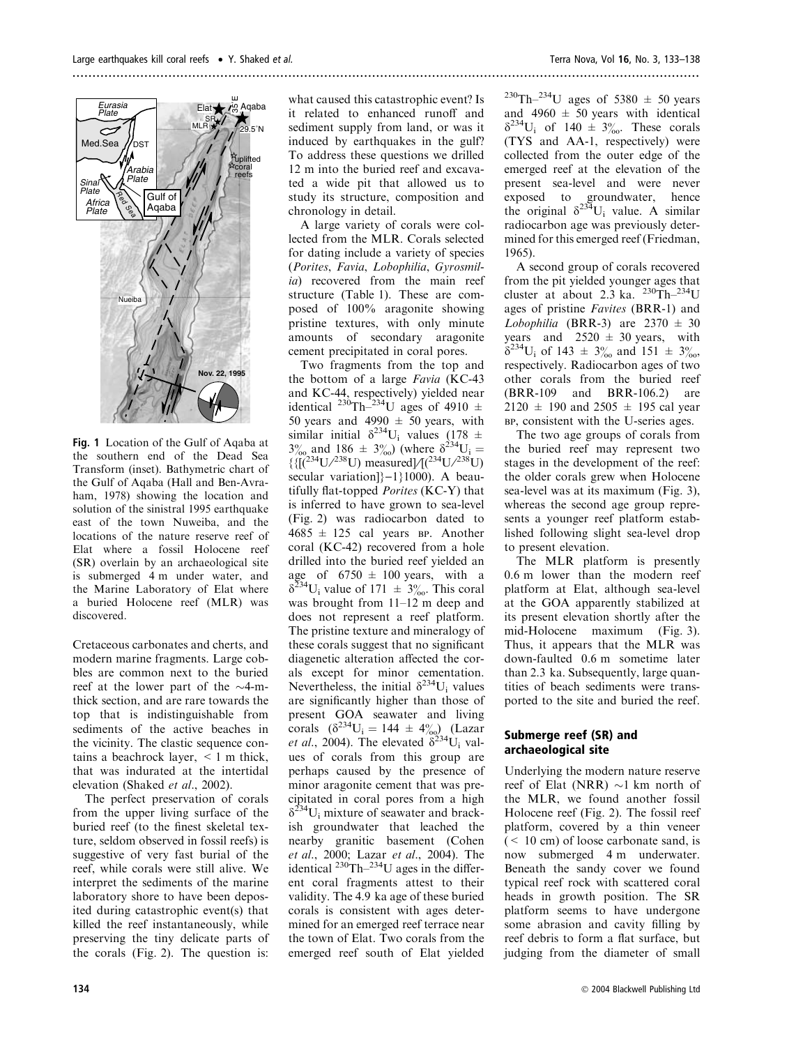

Fig. 1 Location of the Gulf of Aqaba at the southern end of the Dead Sea Transform (inset). Bathymetric chart of the Gulf of Aqaba (Hall and Ben-Avraham, 1978) showing the location and solution of the sinistral 1995 earthquake east of the town Nuweiba, and the locations of the nature reserve reef of Elat where a fossil Holocene reef (SR) overlain by an archaeological site is submerged 4 m under water, and the Marine Laboratory of Elat where a buried Holocene reef (MLR) was discovered.

Cretaceous carbonates and cherts, and modern marine fragments. Large cobbles are common next to the buried reef at the lower part of the  $\sim$ 4-mthick section, and are rare towards the top that is indistinguishable from sediments of the active beaches in the vicinity. The clastic sequence contains a beachrock layer, < 1 m thick, that was indurated at the intertidal elevation (Shaked et al., 2002).

The perfect preservation of corals from the upper living surface of the buried reef (to the finest skeletal texture, seldom observed in fossil reefs) is suggestive of very fast burial of the reef, while corals were still alive. We interpret the sediments of the marine laboratory shore to have been deposited during catastrophic event(s) that killed the reef instantaneously, while preserving the tiny delicate parts of the corals (Fig. 2). The question is:

what caused this catastrophic event? Is it related to enhanced runoff and sediment supply from land, or was it induced by earthquakes in the gulf? To address these questions we drilled 12 m into the buried reef and excavated a wide pit that allowed us to study its structure, composition and chronology in detail.

A large variety of corals were collected from the MLR. Corals selected for dating include a variety of species (Porites, Favia, Lobophilia, Gyrosmilia) recovered from the main reef structure (Table 1). These are composed of 100% aragonite showing pristine textures, with only minute amounts of secondary aragonite cement precipitated in coral pores.

Two fragments from the top and the bottom of a large Favia (KC-43 and KC-44, respectively) yielded near identical <sup>230</sup>Th<sup>-234</sup>U ages of 4910  $\pm$ 50 years and 4990  $\pm$  50 years, with similar initial  $\delta^{234}$ U<sub>i</sub> values (178 ±  $3\%_{\text{oo}}$  and 186  $\pm$  3\% 3\%) (where  $\delta^{234}U_i =$  $\{$ [( $^{234}$ U/ $^{238}$ U) measured]/[ $(^{234}$ U/ $^{238}$ U) secular variation $]-1\rangle1000$ . A beautifully flat-topped Porites (KC-Y) that is inferred to have grown to sea-level (Fig. 2) was radiocarbon dated to  $4685 \pm 125$  cal years BP. Another coral (KC-42) recovered from a hole drilled into the buried reef yielded an age of  $6750 \pm 100$  years, with a  $\delta^{234}$ U<sub>i</sub> value of 171  $\pm$  3\% This coral was brought from 11–12 m deep and does not represent a reef platform. The pristine texture and mineralogy of these corals suggest that no significant diagenetic alteration affected the corals except for minor cementation. Nevertheless, the initial  $\delta^{234}U_i$  values are significantly higher than those of present GOA seawater and living corals  $(\delta^{234}U_i = 144 \pm 4\%)$  (Lazar et al., 2004). The elevated  $\delta^{234}$ U<sub>i</sub> values of corals from this group are perhaps caused by the presence of minor aragonite cement that was precipitated in coral pores from a high  $\delta^{234}$ U<sub>i</sub> mixture of seawater and brackish groundwater that leached the nearby granitic basement (Cohen et al., 2000; Lazar et al., 2004). The identical  $^{230}$ Th $^{-234}$ U ages in the different coral fragments attest to their validity. The 4.9 ka age of these buried corals is consistent with ages determined for an emerged reef terrace near the town of Elat. Two corals from the emerged reef south of Elat yielded  $^{230}$ Th<sup>-234</sup>U ages of 5380  $\pm$  50 years and  $4960 \pm 50$  years with identical  $\delta^{234}U_i$  of 140  $\pm$  3\% These corals (TYS and AA-1, respectively) were collected from the outer edge of the emerged reef at the elevation of the present sea-level and were never exposed to groundwater, hence the original  $\delta^{234}U_i$  value. A similar radiocarbon age was previously determined for this emerged reef (Friedman, 1965).

A second group of corals recovered from the pit yielded younger ages that cluster at about 2.3 ka.  $2^{230}$ Th– $^{234}$ U ages of pristine Favites (BRR-1) and Lobophilia (BRR-3) are  $2370 \pm 30$ years and  $2520 \pm 30$  years, with  $\delta^{234}$ U<sub>i</sub> of 143  $\pm$  3% and 151  $\pm$  3% respectively. Radiocarbon ages of two other corals from the buried reef (BRR-109 and BRR-106.2) are  $2120 \pm 190$  and  $2505 \pm 195$  cal year BP, consistent with the U-series ages.

The two age groups of corals from the buried reef may represent two stages in the development of the reef: the older corals grew when Holocene sea-level was at its maximum (Fig. 3), whereas the second age group represents a younger reef platform established following slight sea-level drop to present elevation.

The MLR platform is presently 0.6 m lower than the modern reef platform at Elat, although sea-level at the GOA apparently stabilized at its present elevation shortly after the mid-Holocene maximum (Fig. 3). Thus, it appears that the MLR was down-faulted 0.6 m sometime later than 2.3 ka. Subsequently, large quantities of beach sediments were transported to the site and buried the reef.

#### Submerge reef (SR) and archaeological site

Underlying the modern nature reserve reef of Elat (NRR)  $\sim$ 1 km north of the MLR, we found another fossil Holocene reef (Fig. 2). The fossil reef platform, covered by a thin veneer (< 10 cm) of loose carbonate sand, is now submerged 4 m underwater. Beneath the sandy cover we found typical reef rock with scattered coral heads in growth position. The SR platform seems to have undergone some abrasion and cavity filling by reef debris to form a flat surface, but judging from the diameter of small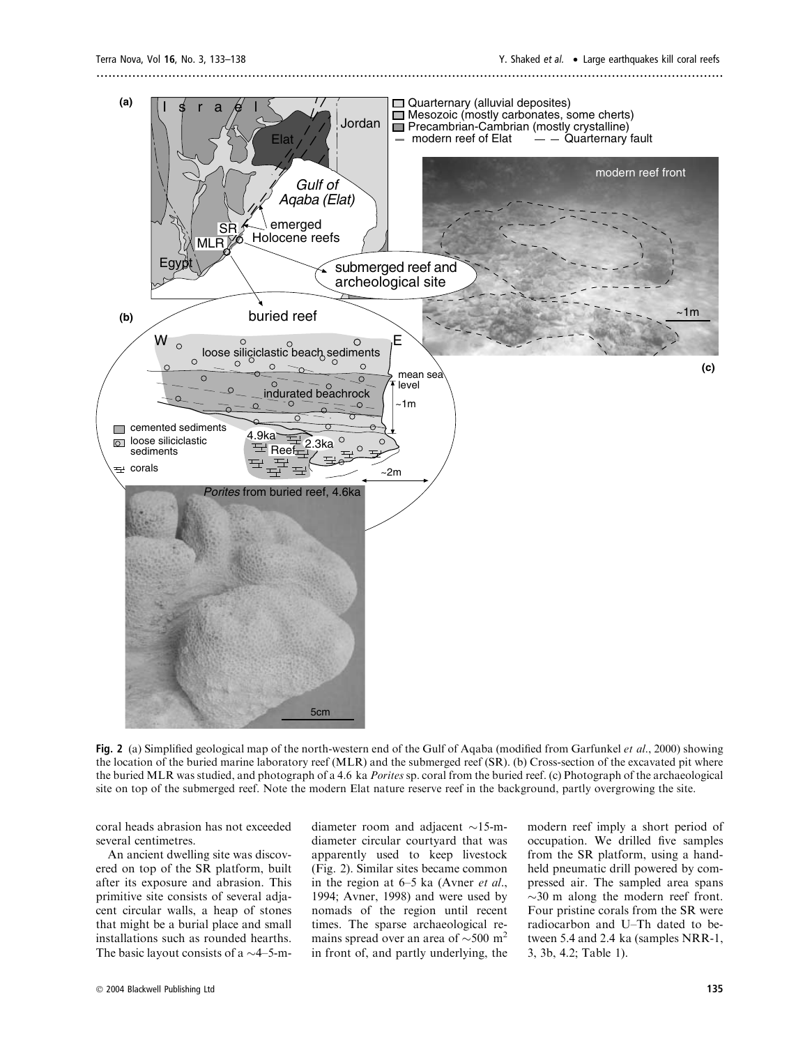

Fig. 2 (a) Simplified geological map of the north-western end of the Gulf of Aqaba (modified from Garfunkel *et al.*, 2000) showing the location of the buried marine laboratory reef (MLR) and the submerged reef (SR). (b) Cross-section of the excavated pit where the buried MLR was studied, and photograph of a 4.6 ka Porites sp. coral from the buried reef. (c) Photograph of the archaeological site on top of the submerged reef. Note the modern Elat nature reserve reef in the background, partly overgrowing the site.

coral heads abrasion has not exceeded several centimetres.

An ancient dwelling site was discovered on top of the SR platform, built after its exposure and abrasion. This primitive site consists of several adjacent circular walls, a heap of stones that might be a burial place and small installations such as rounded hearths. The basic layout consists of a  $\sim$ 4–5-m-

diameter room and adjacent  $\sim$ 15-mdiameter circular courtyard that was apparently used to keep livestock (Fig. 2). Similar sites became common in the region at 6–5 ka (Avner et al., 1994; Avner, 1998) and were used by nomads of the region until recent times. The sparse archaeological remains spread over an area of  $\sim$ 500 m<sup>2</sup> in front of, and partly underlying, the

modern reef imply a short period of occupation. We drilled five samples from the SR platform, using a handheld pneumatic drill powered by compressed air. The sampled area spans  $\sim$ 30 m along the modern reef front. Four pristine corals from the SR were radiocarbon and U–Th dated to between 5.4 and 2.4 ka (samples NRR-1, 3, 3b, 4.2; Table 1).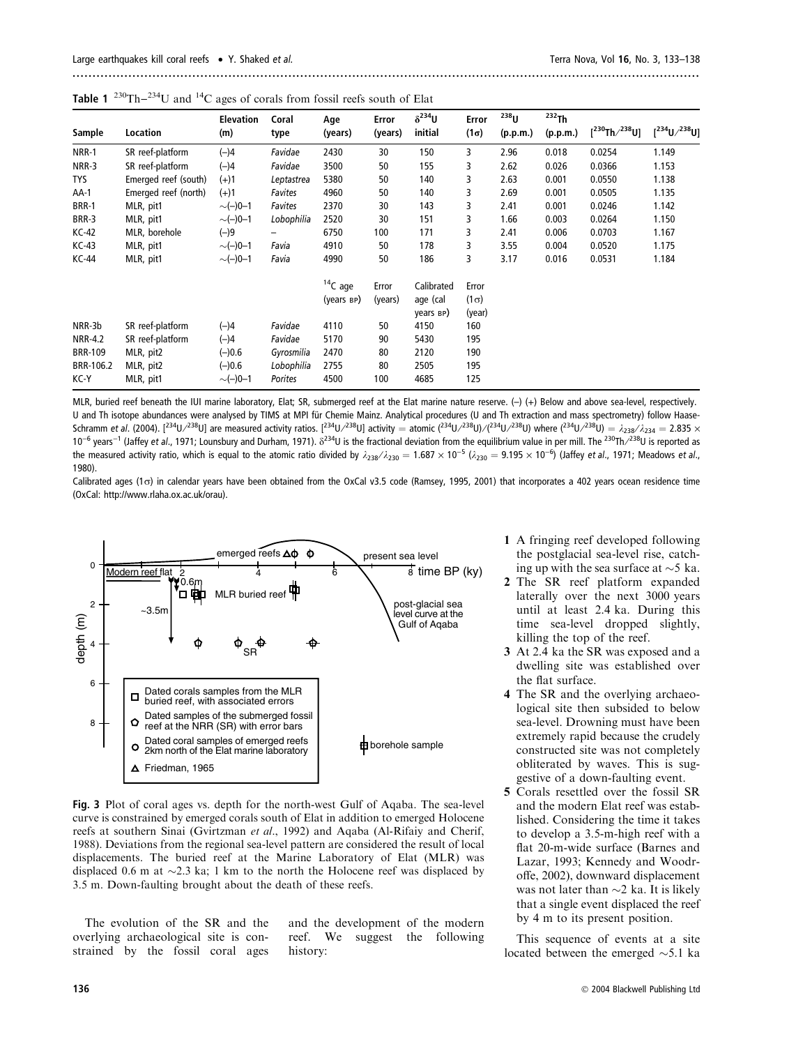|                |                      | <b>Elevation</b> | Coral      | Age        | Error   | $\delta^{234}U$                   | Error                 | $238$ U  | $232$ Th |                      |                         |
|----------------|----------------------|------------------|------------|------------|---------|-----------------------------------|-----------------------|----------|----------|----------------------|-------------------------|
| Sample         | Location             | (m)              | type       | (years)    | (years) | initial                           | $(1\sigma)$           | (p.p.m.) | (p.p.m.) | $[^{230}Th/^{238}U]$ | $[{}^{234}U/{}^{238}U]$ |
| <b>NRR-1</b>   | SR reef-platform     | $(-)4$           | Favidae    | 2430       | 30      | 150                               | 3                     | 2.96     | 0.018    | 0.0254               | 1.149                   |
| NRR-3          | SR reef-platform     | $(-)4$           | Favidae    | 3500       | 50      | 155                               | 3                     | 2.62     | 0.026    | 0.0366               | 1.153                   |
| TYS            | Emerged reef (south) | $(+)1$           | Leptastrea | 5380       | 50      | 140                               | 3                     | 2.63     | 0.001    | 0.0550               | 1.138                   |
| AA-1           | Emerged reef (north) | $(+)1$           | Favites    | 4960       | 50      | 140                               | 3                     | 2.69     | 0.001    | 0.0505               | 1.135                   |
| <b>BRR-1</b>   | MLR, pit1            | $\sim(-)0-1$     | Favites    | 2370       | 30      | 143                               | 3                     | 2.41     | 0.001    | 0.0246               | 1.142                   |
| BRR-3          | MLR, pit1            | $\sim(-)0-1$     | Lobophilia | 2520       | 30      | 151                               | 3                     | 1.66     | 0.003    | 0.0264               | 1.150                   |
| <b>KC-42</b>   | MLR, borehole        | $(-)9$           | —          | 6750       | 100     | 171                               | 3                     | 2.41     | 0.006    | 0.0703               | 1.167                   |
| $KC-43$        | MLR, pit1            | $\sim(-)0-1$     | Favia      | 4910       | 50      | 178                               | 3                     | 3.55     | 0.004    | 0.0520               | 1.175                   |
| <b>KC-44</b>   | MLR, pit1            | $\sim(-)0-1$     | Favia      | 4990       | 50      | 186                               | 3                     | 3.17     | 0.016    | 0.0531               | 1.184                   |
|                |                      |                  |            | $14C$ age  | Error   | Calibrated                        | Error                 |          |          |                      |                         |
|                |                      |                  |            | (years BP) | (years) | age (cal<br>years <sub>BP</sub> ) | $(1\sigma)$<br>(year) |          |          |                      |                         |
| NRR-3b         | SR reef-platform     | $(-)4$           | Favidae    | 4110       | 50      | 4150                              | 160                   |          |          |                      |                         |
| <b>NRR-4.2</b> | SR reef-platform     | $(-)4$           | Favidae    | 5170       | 90      | 5430                              | 195                   |          |          |                      |                         |
| <b>BRR-109</b> | MLR, pit2            | $(-)0.6$         | Gyrosmilia | 2470       | 80      | 2120                              | 190                   |          |          |                      |                         |
| BRR-106.2      | MLR, pit2            | $(-)0.6$         | Lobophilia | 2755       | 80      | 2505                              | 195                   |          |          |                      |                         |
| KC-Y           | MLR, pit1            | $\sim(-)0-1$     | Porites    | 4500       | 100     | 4685                              | 125                   |          |          |                      |                         |

**Table 1** <sup>230</sup>Th–<sup>234</sup>U and <sup>14</sup>C ages of corals from fossil reefs south of Elat

MLR, buried reef beneath the IUI marine laboratory, Elat; SR, submerged reef at the Elat marine nature reserve. (-) (+) Below and above sea-level, respectively. U and Th isotope abundances were analysed by TIMS at MPI für Chemie Mainz. Analytical procedures (U and Th extraction and mass spectrometry) follow Haase-Schramm et al. (2004). [<sup>234</sup>U/<sup>238</sup>U] are measured activity ratios. [<sup>234</sup>U/<sup>238</sup>U] activity = atomic (<sup>234</sup>U/<sup>238</sup>U)/(<sup>234</sup>U/<sup>238</sup>U) where (<sup>234</sup>U/<sup>238</sup>U) =  $\lambda_{238}/\lambda_{234}=2.835\times$ 10<sup>-6</sup> years<sup>-1</sup> (Jaffey et al., 1971; Lounsbury and Durham, 1971).  $\delta^{234}$ U is the fractional deviation from the equilibrium value in per mill. The <sup>230</sup>Th/<sup>238</sup>U is reported as the measured activity ratio, which is equal to the atomic ratio divided by  $\lambda_{238}/\lambda_{230} = 1.687 \times 10^{-5}$  ( $\lambda_{230} = 9.195 \times 10^{-6}$ ) (Jaffey et al., 1971; Meadows et al., 1980).

Calibrated ages (1 $\sigma$ ) in calendar years have been obtained from the OxCal v3.5 code (Ramsey, 1995, 2001) that incorporates a 402 years ocean residence time (OxCal: http://www.rlaha.ox.ac.uk/orau).



Fig. 3 Plot of coral ages vs. depth for the north-west Gulf of Aqaba. The sea-level curve is constrained by emerged corals south of Elat in addition to emerged Holocene reefs at southern Sinai (Gvirtzman et al., 1992) and Aqaba (Al-Rifaiy and Cherif, 1988). Deviations from the regional sea-level pattern are considered the result of local displacements. The buried reef at the Marine Laboratory of Elat (MLR) was displaced 0.6 m at  $\sim$ 2.3 ka; 1 km to the north the Holocene reef was displaced by 3.5 m. Down-faulting brought about the death of these reefs.

The evolution of the SR and the overlying archaeological site is constrained by the fossil coral ages

and the development of the modern reef. We suggest the following history:

- 1 A fringing reef developed following the postglacial sea-level rise, catching up with the sea surface at  $\sim$ 5 ka.
- 2 The SR reef platform expanded laterally over the next 3000 years until at least 2.4 ka. During this time sea-level dropped slightly, killing the top of the reef.
- 3 At 2.4 ka the SR was exposed and a dwelling site was established over the flat surface.
- 4 The SR and the overlying archaeological site then subsided to below sea-level. Drowning must have been extremely rapid because the crudely constructed site was not completely obliterated by waves. This is suggestive of a down-faulting event.
- 5 Corals resettled over the fossil SR and the modern Elat reef was established. Considering the time it takes to develop a 3.5-m-high reef with a flat 20-m-wide surface (Barnes and Lazar, 1993; Kennedy and Woodroffe, 2002), downward displacement was not later than  $\sim$ 2 ka. It is likely that a single event displaced the reef by 4 m to its present position.

This sequence of events at a site located between the emerged  $\sim$ 5.1 ka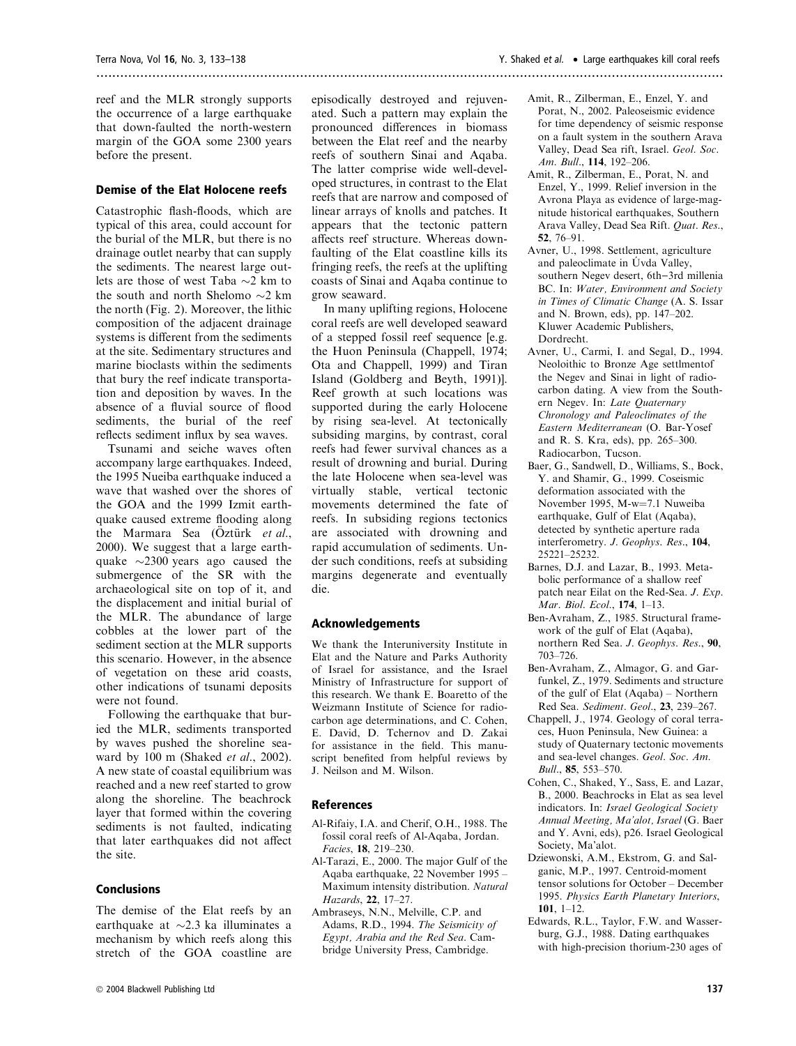reef and the MLR strongly supports the occurrence of a large earthquake that down-faulted the north-western margin of the GOA some 2300 years before the present.

#### Demise of the Elat Holocene reefs

Catastrophic flash-floods, which are typical of this area, could account for the burial of the MLR, but there is no drainage outlet nearby that can supply the sediments. The nearest large outlets are those of west Taba  $\sim$ 2 km to the south and north Shelomo  $\sim$ 2 km the north (Fig. 2). Moreover, the lithic composition of the adjacent drainage systems is different from the sediments at the site. Sedimentary structures and marine bioclasts within the sediments that bury the reef indicate transportation and deposition by waves. In the absence of a fluvial source of flood sediments, the burial of the reef reflects sediment influx by sea waves.

Tsunami and seiche waves often accompany large earthquakes. Indeed, the 1995 Nueiba earthquake induced a wave that washed over the shores of the GOA and the 1999 Izmit earthquake caused extreme flooding along the Marmara Sea (Öztürk et al., 2000). We suggest that a large earthquake  $\sim$ 2300 years ago caused the submergence of the SR with the archaeological site on top of it, and the displacement and initial burial of the MLR. The abundance of large cobbles at the lower part of the sediment section at the MLR supports this scenario. However, in the absence of vegetation on these arid coasts, other indications of tsunami deposits were not found.

Following the earthquake that buried the MLR, sediments transported by waves pushed the shoreline seaward by 100 m (Shaked et al., 2002). A new state of coastal equilibrium was reached and a new reef started to grow along the shoreline. The beachrock layer that formed within the covering sediments is not faulted, indicating that later earthquakes did not affect the site.

#### Conclusions

The demise of the Elat reefs by an earthquake at  $\sim$ 2.3 ka illuminates a mechanism by which reefs along this stretch of the GOA coastline are

episodically destroyed and rejuvenated. Such a pattern may explain the pronounced differences in biomass between the Elat reef and the nearby reefs of southern Sinai and Aqaba. The latter comprise wide well-developed structures, in contrast to the Elat reefs that are narrow and composed of linear arrays of knolls and patches. It appears that the tectonic pattern affects reef structure. Whereas downfaulting of the Elat coastline kills its fringing reefs, the reefs at the uplifting coasts of Sinai and Aqaba continue to grow seaward.

In many uplifting regions, Holocene coral reefs are well developed seaward of a stepped fossil reef sequence [e.g. the Huon Peninsula (Chappell, 1974; Ota and Chappell, 1999) and Tiran Island (Goldberg and Beyth, 1991)]. Reef growth at such locations was supported during the early Holocene by rising sea-level. At tectonically subsiding margins, by contrast, coral reefs had fewer survival chances as a result of drowning and burial. During the late Holocene when sea-level was virtually stable, vertical tectonic movements determined the fate of reefs. In subsiding regions tectonics are associated with drowning and rapid accumulation of sediments. Under such conditions, reefs at subsiding margins degenerate and eventually die.

#### Acknowledgements

We thank the Interuniversity Institute in Elat and the Nature and Parks Authority of Israel for assistance, and the Israel Ministry of Infrastructure for support of this research. We thank E. Boaretto of the Weizmann Institute of Science for radiocarbon age determinations, and C. Cohen, E. David, D. Tchernov and D. Zakai for assistance in the field. This manuscript benefited from helpful reviews by J. Neilson and M. Wilson.

#### References

- Al-Rifaiy, I.A. and Cherif, O.H., 1988. The fossil coral reefs of Al-Aqaba, Jordan. Facies, 18, 219–230.
- Al-Tarazi, E., 2000. The major Gulf of the Aqaba earthquake, 22 November 1995 – Maximum intensity distribution. Natural Hazards, 22, 17–27.
- Ambraseys, N.N., Melville, C.P. and Adams, R.D., 1994. The Seismicity of Egypt, Arabia and the Red Sea. Cambridge University Press, Cambridge.
- Amit, R., Zilberman, E., Enzel, Y. and Porat, N., 2002. Paleoseismic evidence for time dependency of seismic response on a fault system in the southern Arava Valley, Dead Sea rift, Israel. Geol. Soc. Am. Bull., 114, 192–206.
- Amit, R., Zilberman, E., Porat, N. and Enzel, Y., 1999. Relief inversion in the Avrona Playa as evidence of large-magnitude historical earthquakes, Southern Arava Valley, Dead Sea Rift. Quat. Res., 52, 76–91.
- Avner, U., 1998. Settlement, agriculture and paleoclimate in Uvda Valley, southern Negev desert, 6th-3rd millenia BC. In: Water, Environment and Society in Times of Climatic Change (A. S. Issar and N. Brown, eds), pp. 147–202. Kluwer Academic Publishers, Dordrecht.
- Avner, U., Carmi, I. and Segal, D., 1994. Neoloithic to Bronze Age settlmentof the Negev and Sinai in light of radiocarbon dating. A view from the Southern Negev. In: Late Quaternary Chronology and Paleoclimates of the Eastern Mediterranean (O. Bar-Yosef and R. S. Kra, eds), pp. 265–300. Radiocarbon, Tucson.
- Baer, G., Sandwell, D., Williams, S., Bock, Y. and Shamir, G., 1999. Coseismic deformation associated with the November 1995, M-w=7.1 Nuweiba earthquake, Gulf of Elat (Aqaba), detected by synthetic aperture rada interferometry. J. Geophys. Res., 104, 25221–25232.
- Barnes, D.J. and Lazar, B., 1993. Metabolic performance of a shallow reef patch near Eilat on the Red-Sea. J. Exp. Mar. Biol. Ecol., 174, 1–13.
- Ben-Avraham, Z., 1985. Structural framework of the gulf of Elat (Aqaba), northern Red Sea. J. Geophys. Res., 90, 703–726.
- Ben-Avraham, Z., Almagor, G. and Garfunkel, Z., 1979. Sediments and structure of the gulf of Elat (Aqaba) – Northern Red Sea. Sediment. Geol., 23, 239–267.
- Chappell, J., 1974. Geology of coral terraces, Huon Peninsula, New Guinea: a study of Quaternary tectonic movements and sea-level changes. Geol. Soc. Am. Bull., 85, 553–570.
- Cohen, C., Shaked, Y., Sass, E. and Lazar, B., 2000. Beachrocks in Elat as sea level indicators. In: Israel Geological Society Annual Meeting, Ma'alot, Israel (G. Baer and Y. Avni, eds), p26. Israel Geological Society, Ma'alot.
- Dziewonski, A.M., Ekstrom, G. and Salganic, M.P., 1997. Centroid-moment tensor solutions for October – December 1995. Physics Earth Planetary Interiors, 101, 1–12.
- Edwards, R.L., Taylor, F.W. and Wasserburg, G.J., 1988. Dating earthquakes with high-precision thorium-230 ages of